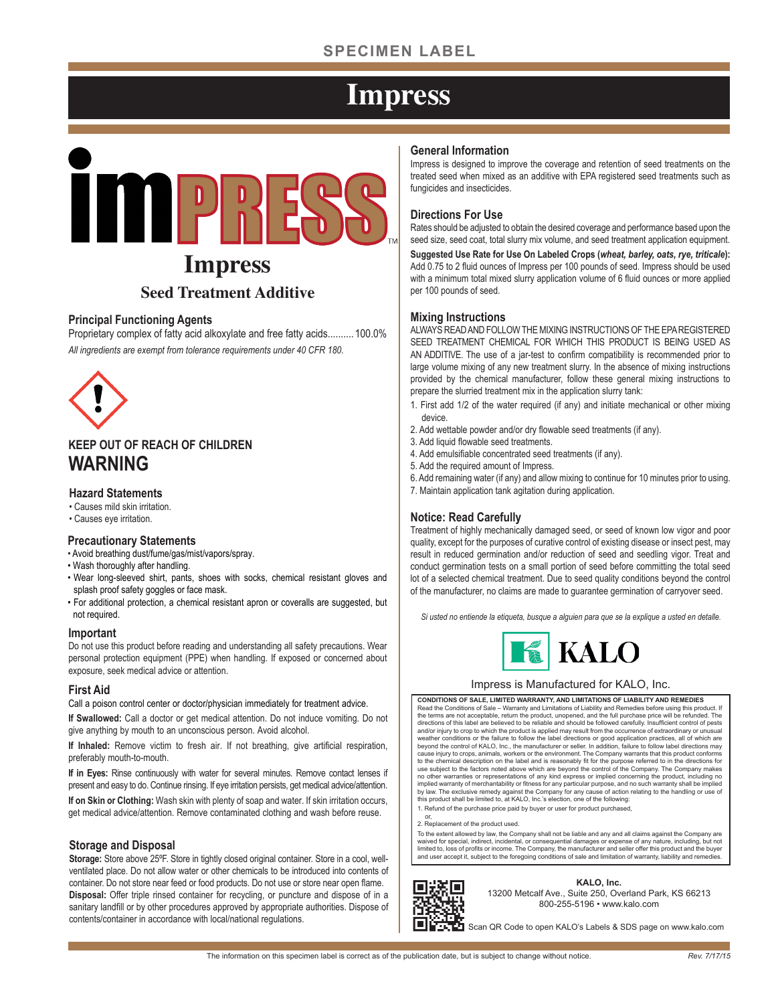## **SPECIMEN LABEL**

## **Impress**



## **Impress Seed Treatment Additive**

#### **Principal Functioning Agents**

Proprietary complex of fatty acid alkoxylate and free fatty acids.......... 100.0% *All ingredients are exempt from tolerance requirements under 40 CFR 180.*



### **KEEP OUT OF REACH OF CHILDREN WARNING**

#### **Hazard Statements**

- Causes mild skin irritation.
- Causes eye irritation.

#### **Precautionary Statements**

- Avoid breathing dust/fume/gas/mist/vapors/spray.
- Wash thoroughly after handling.
- Wear long-sleeved shirt, pants, shoes with socks, chemical resistant gloves and splash proof safety goggles or face mask.
- For additional protection, a chemical resistant apron or coveralls are suggested, but not required.

#### **Important**

Do not use this product before reading and understanding all safety precautions. Wear personal protection equipment (PPE) when handling. If exposed or concerned about exposure, seek medical advice or attention.

#### **First Aid**

Call a poison control center or doctor/physician immediately for treatment advice.

**If Swallowed:** Call a doctor or get medical attention. Do not induce vomiting. Do not give anything by mouth to an unconscious person. Avoid alcohol.

**If Inhaled:** Remove victim to fresh air. If not breathing, give artificial respiration, preferably mouth-to-mouth.

**If in Eyes:** Rinse continuously with water for several minutes. Remove contact lenses if present and easy to do. Continue rinsing. If eye irritation persists, get medical advice/attention.

**If on Skin or Clothing:** Wash skin with plenty of soap and water. If skin irritation occurs, get medical advice/attention. Remove contaminated clothing and wash before reuse.

#### **Storage and Disposal**

**Storage:** Store above 25ºF. Store in tightly closed original container. Store in a cool, wellventilated place. Do not allow water or other chemicals to be introduced into contents of container. Do not store near feed or food products. Do not use or store near open flame. **Disposal:** Offer triple rinsed container for recycling, or puncture and dispose of in a sanitary landfill or by other procedures approved by appropriate authorities. Dispose of contents/container in accordance with local/national regulations.

#### **General Information**

Impress is designed to improve the coverage and retention of seed treatments on the treated seed when mixed as an additive with EPA registered seed treatments such as fungicides and insecticides.

#### **Directions For Use**

Rates should be adjusted to obtain the desired coverage and performance based upon the seed size, seed coat, total slurry mix volume, and seed treatment application equipment. **Suggested Use Rate for Use On Labeled Crops (***wheat, barley, oats, rye, triticale***):** Add 0.75 to 2 fluid ounces of Impress per 100 pounds of seed. Impress should be used with a minimum total mixed slurry application volume of 6 fluid ounces or more applied per 100 pounds of seed.

#### **Mixing Instructions**

ALWAYS READ AND FOLLOW THE MIXING INSTRUCTIONS OF THE EPA REGISTERED SEED TREATMENT CHEMICAL FOR WHICH THIS PRODUCT IS BEING USED AS AN ADDITIVE. The use of a jar-test to confirm compatibility is recommended prior to large volume mixing of any new treatment slurry. In the absence of mixing instructions provided by the chemical manufacturer, follow these general mixing instructions to prepare the slurried treatment mix in the application slurry tank:

- 1. First add 1/2 of the water required (if any) and initiate mechanical or other mixing device.
- 2. Add wettable powder and/or dry flowable seed treatments (if any).
- 3. Add liquid flowable seed treatments.
- 4. Add emulsifiable concentrated seed treatments (if any).
- 5. Add the required amount of Impress.
- 6. Add remaining water (if any) and allow mixing to continue for 10 minutes prior to using.
- 7. Maintain application tank agitation during application.

#### **Notice: Read Carefully**

Treatment of highly mechanically damaged seed, or seed of known low vigor and poor quality, except for the purposes of curative control of existing disease or insect pest, may result in reduced germination and/or reduction of seed and seedling vigor. Treat and conduct germination tests on a small portion of seed before committing the total seed lot of a selected chemical treatment. Due to seed quality conditions beyond the control of the manufacturer, no claims are made to guarantee germination of carryover seed.

*Si usted no entiende la etiqueta, busque a alguien para que se la explique a usted en detalle.*



#### Impress is Manufactured for KALO, Inc.

**CONDITIONS OF SALE, LIMITED WARRANTY, AND LIMITATIONS OF LIABILITY AND REMEDIES** Read the Conditions of Sale – Warranty and Limitations of Liability and Remedies before using this product. If<br>the terms are not acceptable, return the product, unopened, and the full purchase price will be refunded. The<br>d weather conditions or the failure to follow the label directions or good application practices, all of which are<br>beyond the control of KALO, Inc., the manufacturer or seller. In addition, failure to follow label directions to the chemical description on the label and is reasonably fit for the purpose referred to in the directions for use subject to the factors noted above which are beyond the control of the Company. The Company makes<br>no other warranties or representations of any kind express or implied concerning the product, including no<br>implied warra by law. The exclusive remedy against the Company for any cause of action relating to the handling or use of this product shall be limited to, at KALO, Inc.'s election, one of the following:

- 1. Refund of the purchase price paid by buyer or user for product purchased,
- or, 2. Replacement of the product used.

To the extent allowed by law, the Company shall not be liable and any and all claims against the Company are<br>waived for special, indirect, incidental, or consequential damages or expense of any nature, including, but not<br>l and user accept it, subject to the foregoing conditions of sale and limitation of warranty, liability and remedies.



**KALO, Inc.** 13200 Metcalf Ave., Suite 250, Overland Park, KS 66213 800-255-5196 • www.kalo.com

Scan QR Code to open KALO's Labels & SDS page on www.kalo.com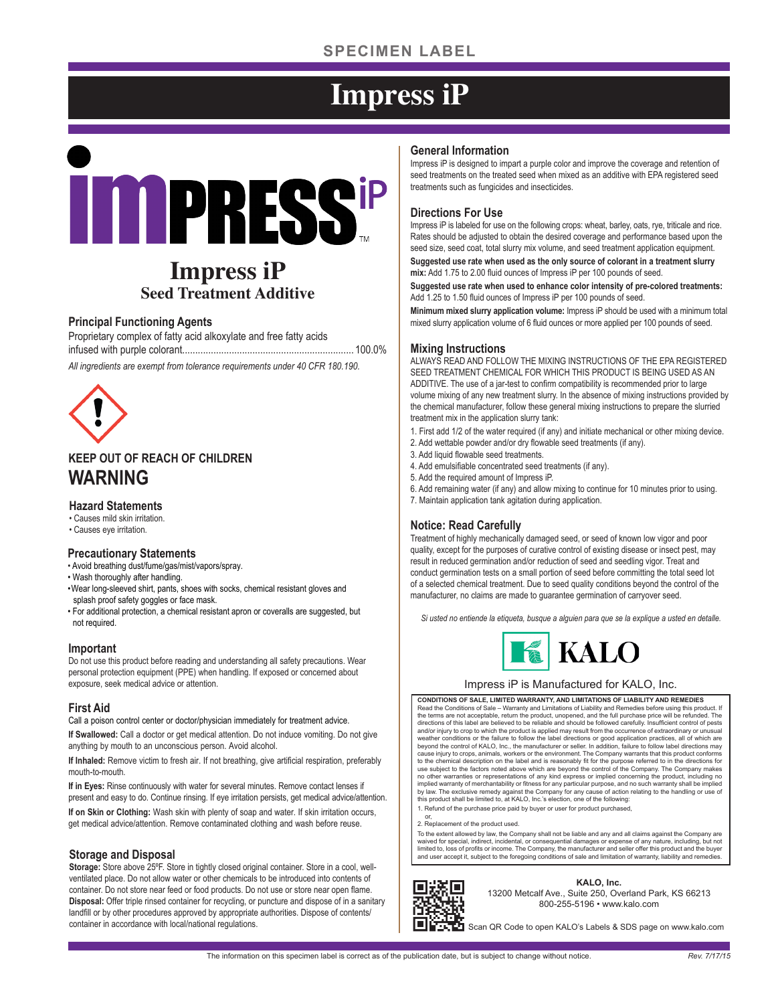## **SPECIMEN LABEL**

# **Impress iP**

# **IMPRESSIP**

## **Impress iP Seed Treatment Additive**

#### **Principal Functioning Agents**

Proprietary complex of fatty acid alkoxylate and free fatty acids infused with purple colorant.................................................................. 100.0%

*All ingredients are exempt from tolerance requirements under 40 CFR 180.190.*



### **KEEP OUT OF REACH OF CHILDREN WARNING**

#### **Hazard Statements**

- Causes mild skin irritation.
- Causes eye irritation.

#### **Precautionary Statements**

- Avoid breathing dust/fume/gas/mist/vapors/spray.
- Wash thoroughly after handling.
- Wear long-sleeved shirt, pants, shoes with socks, chemical resistant gloves and splash proof safety goggles or face mask.
- For additional protection, a chemical resistant apron or coveralls are suggested, but not required.

#### **Important**

Do not use this product before reading and understanding all safety precautions. Wear personal protection equipment (PPE) when handling. If exposed or concerned about exposure, seek medical advice or attention.

#### **First Aid**

Call a poison control center or doctor/physician immediately for treatment advice.

**If Swallowed:** Call a doctor or get medical attention. Do not induce vomiting. Do not give anything by mouth to an unconscious person. Avoid alcohol.

**If Inhaled:** Remove victim to fresh air. If not breathing, give artificial respiration, preferably mouth-to-mouth.

**If in Eyes:** Rinse continuously with water for several minutes. Remove contact lenses if present and easy to do. Continue rinsing. If eye irritation persists, get medical advice/attention.

**If on Skin or Clothing:** Wash skin with plenty of soap and water. If skin irritation occurs, get medical advice/attention. Remove contaminated clothing and wash before reuse.

#### **Storage and Disposal**

**Storage:** Store above 25ºF. Store in tightly closed original container. Store in a cool, wellventilated place. Do not allow water or other chemicals to be introduced into contents of container. Do not store near feed or food products. Do not use or store near open flame. **Disposal:** Offer triple rinsed container for recycling, or puncture and dispose of in a sanitary landfill or by other procedures approved by appropriate authorities. Dispose of contents/ container in accordance with local/national regulations.

#### **General Information**

Impress iP is designed to impart a purple color and improve the coverage and retention of seed treatments on the treated seed when mixed as an additive with EPA registered seed treatments such as fungicides and insecticides.

#### **Directions For Use**

Impress iP is labeled for use on the following crops: wheat, barley, oats, rye, triticale and rice. Rates should be adjusted to obtain the desired coverage and performance based upon the seed size, seed coat, total slurry mix volume, and seed treatment application equipment.

**Suggested use rate when used as the only source of colorant in a treatment slurry mix:** Add 1.75 to 2.00 fluid ounces of Impress iP per 100 pounds of seed.

**Suggested use rate when used to enhance color intensity of pre-colored treatments:** Add 1.25 to 1.50 fluid ounces of Impress iP per 100 pounds of seed.

**Minimum mixed slurry application volume:** Impress iP should be used with a minimum total mixed slurry application volume of 6 fluid ounces or more applied per 100 pounds of seed.

#### **Mixing Instructions**

ALWAYS READ AND FOLLOW THE MIXING INSTRUCTIONS OF THE EPA REGISTERED SEED TREATMENT CHEMICAL FOR WHICH THIS PRODUCT IS BEING USED AS AN ADDITIVE. The use of a jar-test to confirm compatibility is recommended prior to large volume mixing of any new treatment slurry. In the absence of mixing instructions provided by the chemical manufacturer, follow these general mixing instructions to prepare the slurried treatment mix in the application slurry tank:

1. First add 1/2 of the water required (if any) and initiate mechanical or other mixing device.

- 2. Add wettable powder and/or dry flowable seed treatments (if any).
- 3. Add liquid flowable seed treatments.
- 4. Add emulsifiable concentrated seed treatments (if any).
- 5. Add the required amount of Impress iP.
- 6. Add remaining water (if any) and allow mixing to continue for 10 minutes prior to using. 7. Maintain application tank agitation during application.

#### **Notice: Read Carefully**

Treatment of highly mechanically damaged seed, or seed of known low vigor and poor quality, except for the purposes of curative control of existing disease or insect pest, may result in reduced germination and/or reduction of seed and seedling vigor. Treat and conduct germination tests on a small portion of seed before committing the total seed lot of a selected chemical treatment. Due to seed quality conditions beyond the control of the manufacturer, no claims are made to guarantee germination of carryover seed.

*Si usted no entiende la etiqueta, busque a alguien para que se la explique a usted en detalle.*



#### Impress iP is Manufactured for KALO, Inc.

**CONDITIONS OF SALE, LIMITED WARRANTY, AND LIMITATIONS OF LIABILITY AND REMEDIES** Read the Conditions of Sale – Warranty and Limitations of Liability and Remedies before using this product. If<br>the terms are not acceptable, return the product, unopened, and the full purchase price will be refunded. The<br>d weather conditions or the failure to follow the label directions or good application practices, all of which are<br>beyond the control of KALO, Inc., the manufacturer or seller. In addition, failure to follow label directions to the chemical description on the label and is reasonably fit for the purpose referred to in the directions for use subject to the factors noted above which are beyond the control of the Company. The Company makes<br>no other warranties or representations of any kind express or implied concerning the product, including no<br>implied warra by law. The exclusive remedy against the Company for any cause of action relating to the handling or use of this product shall be limited to, at KALO, Inc.'s election, one of the following:

1. Refund of the purchase price paid by buyer or user for product purchased,

or, 2. Replacement of the product used.

To the extent allowed by law, the Company shall not be liable and any and all claims against the Company are<br>waived for special, indirect, incidental, or consequential damages or expense of any nature, including, but not<br>l and user accept it, subject to the foregoing conditions of sale and limitation of warranty, liability and remedies.



**KALO, Inc.** 13200 Metcalf Ave., Suite 250, Overland Park, KS 66213 800-255-5196 • www.kalo.com

Scan QR Code to open KALO's Labels & SDS page on www.kalo.com